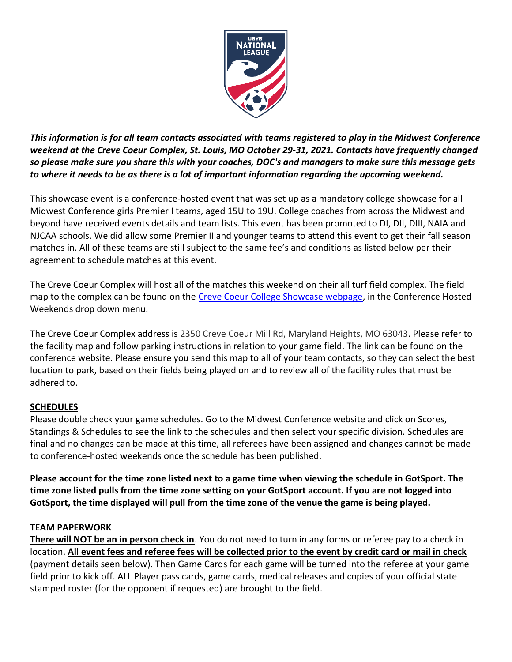

*This information is for all team contacts associated with teams registered to play in the Midwest Conference weekend at the Creve Coeur Complex, St. Louis, MO October 29-31, 2021. Contacts have frequently changed so please make sure you share this with your coaches, DOC's and managers to make sure this message gets to where it needs to be as there is a lot of important information regarding the upcoming weekend.*

This showcase event is a conference-hosted event that was set up as a mandatory college showcase for all Midwest Conference girls Premier I teams, aged 15U to 19U. College coaches from across the Midwest and beyond have received events details and team lists. This event has been promoted to DI, DII, DIII, NAIA and NJCAA schools. We did allow some Premier II and younger teams to attend this event to get their fall season matches in. All of these teams are still subject to the same fee's and conditions as listed below per their agreement to schedule matches at this event.

The Creve Coeur Complex will host all of the matches this weekend on their all turf field complex. The field map to the complex can be found on the [Creve Coeur College Showcase webpage,](https://www.usysnationalleague.com/events/creve-coeur-college-showcase/) in the Conference Hosted Weekends drop down menu.

The Creve Coeur Complex address is 2350 Creve Coeur Mill Rd, Maryland Heights, MO 63043. Please refer to the facility map and follow parking instructions in relation to your game field. The link can be found on the conference website. Please ensure you send this map to all of your team contacts, so they can select the best location to park, based on their fields being played on and to review all of the facility rules that must be adhered to.

## **SCHEDULES**

Please double check your game schedules. Go to the Midwest Conference website and click on Scores, Standings & Schedules to see the link to the schedules and then select your specific division. Schedules are final and no changes can be made at this time, all referees have been assigned and changes cannot be made to conference-hosted weekends once the schedule has been published.

**Please account for the time zone listed next to a game time when viewing the schedule in GotSport. The time zone listed pulls from the time zone setting on your GotSport account. If you are not logged into GotSport, the time displayed will pull from the time zone of the venue the game is being played.**

## **TEAM PAPERWORK**

**There will NOT be an in person check in**. You do not need to turn in any forms or referee pay to a check in location. **All event fees and referee fees will be collected prior to the event by credit card or mail in check** (payment details seen below). Then Game Cards for each game will be turned into the referee at your game field prior to kick off. ALL Player pass cards, game cards, medical releases and copies of your official state stamped roster (for the opponent if requested) are brought to the field.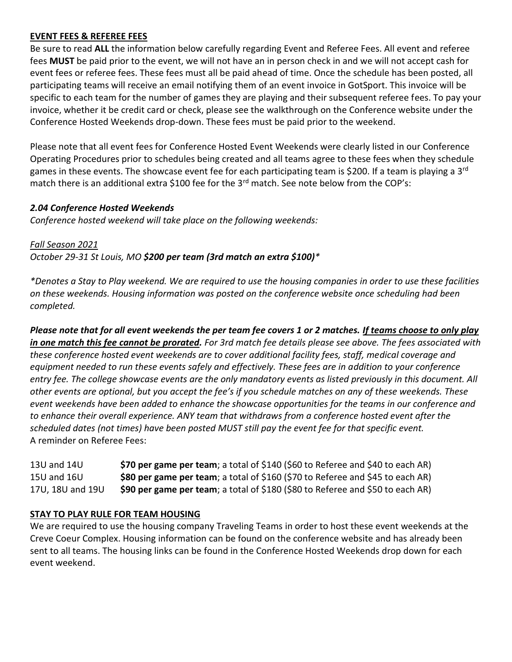# **EVENT FEES & REFEREE FEES**

Be sure to read **ALL** the information below carefully regarding Event and Referee Fees. All event and referee fees **MUST** be paid prior to the event, we will not have an in person check in and we will not accept cash for event fees or referee fees. These fees must all be paid ahead of time. Once the schedule has been posted, all participating teams will receive an email notifying them of an event invoice in GotSport. This invoice will be specific to each team for the number of games they are playing and their subsequent referee fees. To pay your invoice, whether it be credit card or check, please see the walkthrough on the Conference website under the Conference Hosted Weekends drop-down. These fees must be paid prior to the weekend.

Please note that all event fees for Conference Hosted Event Weekends were clearly listed in our Conference Operating Procedures prior to schedules being created and all teams agree to these fees when they schedule games in these events. The showcase event fee for each participating team is \$200. If a team is playing a 3<sup>rd</sup> match there is an additional extra \$100 fee for the 3<sup>rd</sup> match. See note below from the COP's:

### *2.04 Conference Hosted Weekends*

*Conference hosted weekend will take place on the following weekends:*

*Fall Season 2021 October 29-31 St Louis, MO \$200 per team (3rd match an extra \$100)\**

*\*Denotes a Stay to Play weekend. We are required to use the housing companies in order to use these facilities on these weekends. Housing information was posted on the conference website once scheduling had been completed.*

*Please note that for all event weekends the per team fee covers 1 or 2 matches. If teams choose to only play in one match this fee cannot be prorated. For 3rd match fee details please see above. The fees associated with these conference hosted event weekends are to cover additional facility fees, staff, medical coverage and equipment needed to run these events safely and effectively. These fees are in addition to your conference entry fee. The college showcase events are the only mandatory events as listed previously in this document. All other events are optional, but you accept the fee's if you schedule matches on any of these weekends. These event weekends have been added to enhance the showcase opportunities for the teams in our conference and to enhance their overall experience. ANY team that withdraws from a conference hosted event after the scheduled dates (not times) have been posted MUST still pay the event fee for that specific event.* A reminder on Referee Fees:

| 13U and 14U      | \$70 per game per team; a total of \$140 (\$60 to Referee and \$40 to each AR) |
|------------------|--------------------------------------------------------------------------------|
| 15U and 16U      | \$80 per game per team; a total of \$160 (\$70 to Referee and \$45 to each AR) |
| 17U, 18U and 19U | \$90 per game per team; a total of \$180 (\$80 to Referee and \$50 to each AR) |

## **STAY TO PLAY RULE FOR TEAM HOUSING**

We are required to use the housing company Traveling Teams in order to host these event weekends at the Creve Coeur Complex. Housing information can be found on the conference website and has already been sent to all teams. The housing links can be found in the Conference Hosted Weekends drop down for each event weekend.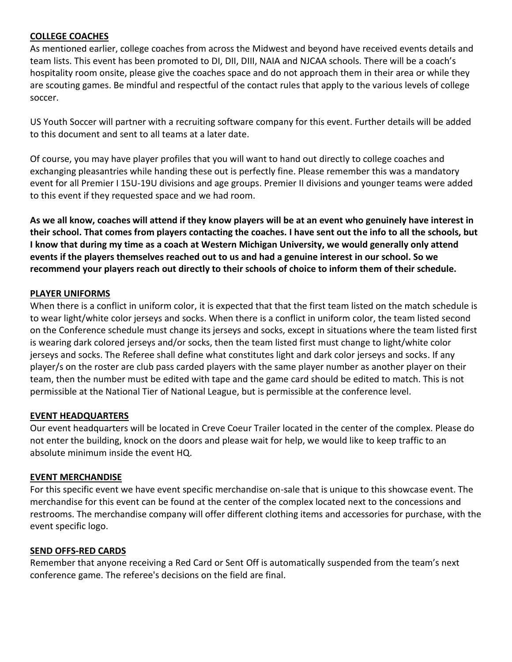## **COLLEGE COACHES**

As mentioned earlier, college coaches from across the Midwest and beyond have received events details and team lists. This event has been promoted to DI, DII, DIII, NAIA and NJCAA schools. There will be a coach's hospitality room onsite, please give the coaches space and do not approach them in their area or while they are scouting games. Be mindful and respectful of the contact rules that apply to the various levels of college soccer.

US Youth Soccer will partner with a recruiting software company for this event. Further details will be added to this document and sent to all teams at a later date.

Of course, you may have player profiles that you will want to hand out directly to college coaches and exchanging pleasantries while handing these out is perfectly fine. Please remember this was a mandatory event for all Premier I 15U-19U divisions and age groups. Premier II divisions and younger teams were added to this event if they requested space and we had room.

**As we all know, coaches will attend if they know players will be at an event who genuinely have interest in their school. That comes from players contacting the coaches. I have sent out the info to all the schools, but I know that during my time as a coach at Western Michigan University, we would generally only attend events if the players themselves reached out to us and had a genuine interest in our school. So we recommend your players reach out directly to their schools of choice to inform them of their schedule.**

#### **PLAYER UNIFORMS**

When there is a conflict in uniform color, it is expected that that the first team listed on the match schedule is to wear light/white color jerseys and socks. When there is a conflict in uniform color, the team listed second on the Conference schedule must change its jerseys and socks, except in situations where the team listed first is wearing dark colored jerseys and/or socks, then the team listed first must change to light/white color jerseys and socks. The Referee shall define what constitutes light and dark color jerseys and socks. If any player/s on the roster are club pass carded players with the same player number as another player on their team, then the number must be edited with tape and the game card should be edited to match. This is not permissible at the National Tier of National League, but is permissible at the conference level.

#### **EVENT HEADQUARTERS**

Our event headquarters will be located in Creve Coeur Trailer located in the center of the complex. Please do not enter the building, knock on the doors and please wait for help, we would like to keep traffic to an absolute minimum inside the event HQ.

#### **EVENT MERCHANDISE**

For this specific event we have event specific merchandise on-sale that is unique to this showcase event. The merchandise for this event can be found at the center of the complex located next to the concessions and restrooms. The merchandise company will offer different clothing items and accessories for purchase, with the event specific logo.

#### **SEND OFFS-RED CARDS**

Remember that anyone receiving a Red Card or Sent Off is automatically suspended from the team's next conference game. The referee's decisions on the field are final.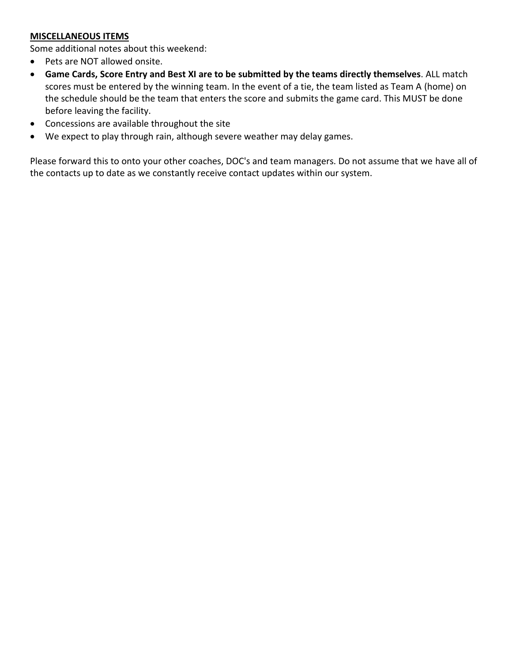# **MISCELLANEOUS ITEMS**

Some additional notes about this weekend:

- Pets are NOT allowed onsite.
- **Game Cards, Score Entry and Best XI are to be submitted by the teams directly themselves**. ALL match scores must be entered by the winning team. In the event of a tie, the team listed as Team A (home) on the schedule should be the team that enters the score and submits the game card. This MUST be done before leaving the facility.
- Concessions are available throughout the site
- We expect to play through rain, although severe weather may delay games.

Please forward this to onto your other coaches, DOC's and team managers. Do not assume that we have all of the contacts up to date as we constantly receive contact updates within our system.